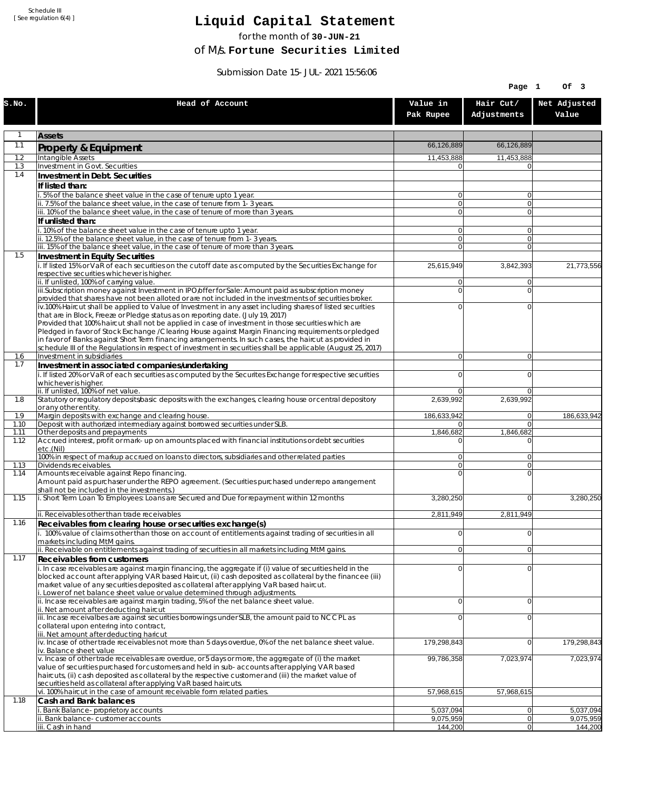Schedule III [ See regulation 6(4) ]

## **Liquid Capital Statement**

for the month of **30-JUN-21**

of M/s. **Fortune Securities Limited**

Submission Date 15-JUL-2021 15:56:06

|              |                                                                                                                                                                                                                        |                               | Page 1                           | Of 3                   |
|--------------|------------------------------------------------------------------------------------------------------------------------------------------------------------------------------------------------------------------------|-------------------------------|----------------------------------|------------------------|
| S.NO.        | Head of Account                                                                                                                                                                                                        | Value in<br>Pak Rupee         | Hair Cut/<br>Adjustments         | Net Adjusted<br>Value  |
| $\mathbf{1}$ | <b>Assets</b>                                                                                                                                                                                                          |                               |                                  |                        |
| 1.1          | Property & Equipment                                                                                                                                                                                                   | 66,126,889                    | 66,126,889                       |                        |
| 1.2          | Intangible Assets                                                                                                                                                                                                      | 11,453,888                    | 11,453,888                       |                        |
| 1.3<br>1.4   | Investment in Govt. Securities<br>Investment in Debt. Securities                                                                                                                                                       | ΩI                            | $\Omega$                         |                        |
|              | If listed than:                                                                                                                                                                                                        |                               |                                  |                        |
|              | i. 5% of the balance sheet value in the case of tenure upto 1 year.                                                                                                                                                    | $\overline{0}$                | $\overline{0}$                   |                        |
|              | ii. 7.5% of the balance sheet value, in the case of tenure from 1-3 years.                                                                                                                                             | 0 <br>$\overline{0}$          | $\overline{0}$<br>$\overline{0}$ |                        |
|              | iii. 10% of the balance sheet value, in the case of tenure of more than 3 years.<br>If unlisted than:                                                                                                                  |                               |                                  |                        |
|              | i. 10% of the balance sheet value in the case of tenure upto 1 year.                                                                                                                                                   | 0                             | $\Omega$                         |                        |
|              | ii. 12.5% of the balance sheet value, in the case of tenure from 1-3 years.                                                                                                                                            | $\overline{0}$                | $\overline{0}$                   |                        |
| 1.5          | iii. 15% of the balance sheet value, in the case of tenure of more than 3 years.<br>Investment in Equity Securities                                                                                                    | $\overline{0}$                | $\Omega$                         |                        |
|              | i. If listed 15% or VaR of each securities on the cutoff date as computed by the Securities Exchange for                                                                                                               | 25,615,949                    | 3,842,393                        | 21,773,556             |
|              | respective securities whichever is higher.                                                                                                                                                                             |                               |                                  |                        |
|              | ii. If unlisted, 100% of carrying value.<br>iii.Subscription money against Investment in IPO/offer for Sale: Amount paid as subscription money                                                                         | 0<br>0                        | $\Omega$<br>$\Omega$             |                        |
|              | provided that shares have not been alloted or are not included in the investments of securities broker.                                                                                                                |                               |                                  |                        |
|              | iv.100% Haircut shall be applied to Value of Investment in any asset including shares of listed securities                                                                                                             | 0                             | $\Omega$                         |                        |
|              | that are in Block, Freeze or Pledge status as on reporting date. (July 19, 2017)<br>Provided that 100% haircut shall not be applied in case of investment in those securities which are                                |                               |                                  |                        |
|              | Pledged in favor of Stock Exchange / Clearing House against Margin Financing requirements or pledged                                                                                                                   |                               |                                  |                        |
|              | in favor of Banks against Short Term financing arrangements. In such cases, the haircut as provided in<br>schedule III of the Regulations in respect of investment in securities shall be applicable (August 25, 2017) |                               |                                  |                        |
| 1.6          | Investment in subsidiaries                                                                                                                                                                                             | $\overline{0}$                | $\overline{0}$                   |                        |
| 1.7          | Investment in associated companies/undertaking                                                                                                                                                                         |                               |                                  |                        |
|              | i. If listed 20% or VaR of each securities as computed by the Securites Exchange for respective securities<br>whichever is higher.                                                                                     | 0                             | $\Omega$                         |                        |
|              | ii. If unlisted, 100% of net value.                                                                                                                                                                                    | 0                             | $\Omega$                         |                        |
| 1.8          | Statutory or regulatory deposits/basic deposits with the exchanges, clearing house or central depository                                                                                                               | 2,639,992                     | 2,639,992                        |                        |
| 1.9          | or any other entity.<br>Margin deposits with exchange and clearing house.                                                                                                                                              | 186,633,942                   | 0                                | 186,633,942            |
| 1.10         | Deposit with authorized intermediary against borrowed securities under SLB.                                                                                                                                            | 01                            | $\overline{0}$                   |                        |
| 1.11<br>1.12 | Other deposits and prepayments<br>Accrued interest, profit or mark-up on amounts placed with financial institutions or debt securities                                                                                 | 1,846,682<br>$\Omega$         | 1,846,682<br>$\Omega$            |                        |
|              | etc.(Nil)                                                                                                                                                                                                              |                               |                                  |                        |
|              | 100% in respect of markup accrued on loans to directors, subsidiaries and other related parties                                                                                                                        | 0                             | $\Omega$                         |                        |
| 1.13<br>1.14 | Dividends receivables.<br>Amounts receivable against Repo financing.                                                                                                                                                   | $\overline{0}$<br>$\mathbf 0$ | $\Omega$<br>$\Omega$             |                        |
|              | Amount paid as purchaser under the REPO agreement. (Securities purchased under repo arrangement                                                                                                                        |                               |                                  |                        |
| 1.15         | shall not be included in the investments.)<br>i. Short Term Loan To Employees: Loans are Secured and Due for repayment within 12 months                                                                                | 3,280,250                     | $\overline{0}$                   | 3,280,250              |
|              |                                                                                                                                                                                                                        |                               |                                  |                        |
|              | ii. Receivables other than trade receivables                                                                                                                                                                           | 2,811,949                     | 2,811,949                        |                        |
| 1.16         | Receivables from clearing house or securities exchange(s)<br>i. 100% value of claims other than those on account of entitlements against trading of securities in all                                                  | 0                             | 0                                |                        |
|              | markets including MtM gains.                                                                                                                                                                                           |                               |                                  |                        |
|              | ii. Receivable on entitlements against trading of securities in all markets including MtM gains.                                                                                                                       | $\overline{0}$                | 0                                |                        |
| 1.17         | Receivables from customers                                                                                                                                                                                             | $\mathbf 0$                   | $\overline{0}$                   |                        |
|              | i. In case receivables are against margin financing, the aggregate if (i) value of securities held in the<br>blocked account after applying VAR based Haircut, (ii) cash deposited as collateral by the financee (iii) |                               |                                  |                        |
|              | market value of any securities deposited as collateral after applying VaR based haircut.                                                                                                                               |                               |                                  |                        |
|              | i. Lower of net balance sheet value or value determined through adjustments.<br>ii. Incase receivables are against margin trading, 5% of the net balance sheet value.                                                  | $\mathbf 0$                   | $\overline{0}$                   |                        |
|              | ii. Net amount after deducting haircut                                                                                                                                                                                 |                               |                                  |                        |
|              | iii. Incase receivalbes are against securities borrowings under SLB, the amount paid to NCCPL as<br>collateral upon entering into contract,                                                                            | 0                             | $\Omega$                         |                        |
|              | iii. Net amount after deducting haricut                                                                                                                                                                                |                               |                                  |                        |
|              | $iv.$ Incase of other trade receivables not more than 5 days overdue, 0% of the net balance sheet value.                                                                                                               | 179,298,843                   | 0                                | 179,298,843            |
|              | iv. Balance sheet value<br>v. Incase of other trade receivables are overdue, or 5 days or more, the aggregate of (i) the market                                                                                        | 99,786,358                    | 7,023,974                        | 7,023,974              |
|              | value of securities purchased for customers and held in sub-accounts after applying VAR based                                                                                                                          |                               |                                  |                        |
|              | haircuts, (ii) cash deposited as collateral by the respective customer and (iii) the market value of<br>securities held as collateral after applying VaR based haircuts.                                               |                               |                                  |                        |
|              | vi. 100% haircut in the case of amount receivable form related parties.                                                                                                                                                | 57,968,615                    | 57,968,615                       |                        |
| 1.18         | Cash and Bank balances                                                                                                                                                                                                 |                               |                                  |                        |
|              | i. Bank Balance-proprietory accounts<br>ii. Bank balance-customer accounts                                                                                                                                             | 5,037,094<br>9,075,959        | 0 <br> 0                         | 5,037,094<br>9,075,959 |
|              | iii. Cash in hand                                                                                                                                                                                                      | 144,200                       | 0                                | 144,200                |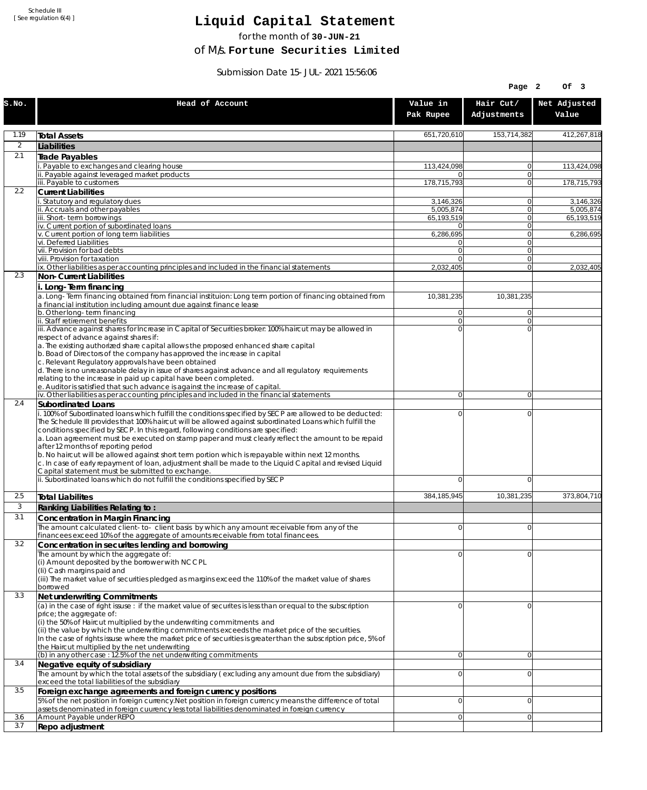Schedule III [ See regulation 6(4) ]

## **Liquid Capital Statement**

for the month of **30-JUN-21**

of M/s. **Fortune Securities Limited**

Submission Date 15-JUL-2021 15:56:06

|            |                                                                                                                                                                                                                                                                                                                                                                                                                                                                                                                                                                                                                                                                                                                              |                         | Page 2                        | Of 3                   |
|------------|------------------------------------------------------------------------------------------------------------------------------------------------------------------------------------------------------------------------------------------------------------------------------------------------------------------------------------------------------------------------------------------------------------------------------------------------------------------------------------------------------------------------------------------------------------------------------------------------------------------------------------------------------------------------------------------------------------------------------|-------------------------|-------------------------------|------------------------|
| S.NO.      | Head of Account                                                                                                                                                                                                                                                                                                                                                                                                                                                                                                                                                                                                                                                                                                              | Value in<br>Pak Rupee   | Hair Cut/<br>Adjustments      | Net Adjusted<br>Value  |
| 1.19       | <b>Total Assets</b>                                                                                                                                                                                                                                                                                                                                                                                                                                                                                                                                                                                                                                                                                                          | 651,720,610             | 153,714,382                   | 412.267.818            |
| 2          | Liabilities                                                                                                                                                                                                                                                                                                                                                                                                                                                                                                                                                                                                                                                                                                                  |                         |                               |                        |
| 2.1        | Trade Payables                                                                                                                                                                                                                                                                                                                                                                                                                                                                                                                                                                                                                                                                                                               |                         |                               |                        |
|            | i. Payable to exchanges and clearing house<br>ii. Payable against leveraged market products                                                                                                                                                                                                                                                                                                                                                                                                                                                                                                                                                                                                                                  | 113,424,098<br>$\Omega$ | 0<br>0                        | 113,424,098            |
|            | iii. Payable to customers                                                                                                                                                                                                                                                                                                                                                                                                                                                                                                                                                                                                                                                                                                    | 178,715,793             | 0                             | 178,715,793            |
| 2.2        | <b>Current Liabilities</b>                                                                                                                                                                                                                                                                                                                                                                                                                                                                                                                                                                                                                                                                                                   |                         |                               |                        |
|            | i. Statutory and regulatory dues<br>ii. Accruals and other payables                                                                                                                                                                                                                                                                                                                                                                                                                                                                                                                                                                                                                                                          | 3,146,326<br>5,005,874  | 0<br>$\mathbf{0}$             | 3,146,326<br>5,005,874 |
|            | iii. Short-term borrowings                                                                                                                                                                                                                                                                                                                                                                                                                                                                                                                                                                                                                                                                                                   | 65,193,519              | 0                             | 65,193,519             |
|            | iv. Current portion of subordinated loans                                                                                                                                                                                                                                                                                                                                                                                                                                                                                                                                                                                                                                                                                    | $\Omega$                | $\mathbf 0$                   |                        |
|            | v. Current portion of long term liabilities<br>vi. Deferred Liabilities                                                                                                                                                                                                                                                                                                                                                                                                                                                                                                                                                                                                                                                      | 6,286,695<br>0          | $\overline{0}$<br>$\mathbf 0$ | 6,286,695              |
|            | vii. Provision for bad debts                                                                                                                                                                                                                                                                                                                                                                                                                                                                                                                                                                                                                                                                                                 | $\overline{0}$          | $\mathbf{0}$                  |                        |
|            | viii. Provision for taxation<br>ix. Other liabilities as per accounting principles and included in the financial statements                                                                                                                                                                                                                                                                                                                                                                                                                                                                                                                                                                                                  | $\Omega$<br>2,032,405   | 0<br>$\mathbf{0}$             | 2,032,405              |
| 2.3        | <b>Non-Current Liabilities</b>                                                                                                                                                                                                                                                                                                                                                                                                                                                                                                                                                                                                                                                                                               |                         |                               |                        |
|            | i. Long-Term financing                                                                                                                                                                                                                                                                                                                                                                                                                                                                                                                                                                                                                                                                                                       |                         |                               |                        |
|            | a. Long-Term financing obtained from financial instituion: Long term portion of financing obtained from<br>a financial institution including amount due against finance lease                                                                                                                                                                                                                                                                                                                                                                                                                                                                                                                                                | 10,381,235              | 10,381,235                    |                        |
|            | b. Other long-term financing<br>ii. Staff retirement benefits                                                                                                                                                                                                                                                                                                                                                                                                                                                                                                                                                                                                                                                                | 0<br>$\overline{0}$     | $\overline{0}$<br>0           |                        |
|            | iii. Advance against shares for Increase in Capital of Securities broker: 100% haircut may be allowed in<br>respect of advance against shares if:<br>a. The existing authorized share capital allows the proposed enhanced share capital                                                                                                                                                                                                                                                                                                                                                                                                                                                                                     | $\Omega$                | $\Omega$                      |                        |
|            | b. Boad of Directors of the company has approved the increase in capital<br>c. Relevant Regulatory approvals have been obtained                                                                                                                                                                                                                                                                                                                                                                                                                                                                                                                                                                                              |                         |                               |                        |
|            | d. There is no unreasonable delay in issue of shares against advance and all regulatory requirements<br>relating to the increase in paid up capital have been completed.<br>e. Auditor is satisfied that such advance is against the increase of capital.                                                                                                                                                                                                                                                                                                                                                                                                                                                                    |                         |                               |                        |
| 2.4        | iv. Other liabilities as per accounting principles and included in the financial statements<br><b>Subordinated Loans</b>                                                                                                                                                                                                                                                                                                                                                                                                                                                                                                                                                                                                     | 0                       | $\overline{0}$                |                        |
|            | i. 100% of Subordinated loans which fulfill the conditions specified by SECP are allowed to be deducted:<br>The Schedule III provides that 100% haircut will be allowed against subordinated Loans which fulfill the<br>conditions specified by SECP. In this regard, following conditions are specified:<br>a. Loan agreement must be executed on stamp paper and must clearly reflect the amount to be repaid<br>after 12 months of reporting period<br>b. No haircut will be allowed against short term portion which is repayable within next 12 months.<br>c. In case of early repayment of loan, adjustment shall be made to the Liquid Capital and revised Liquid<br>Capital statement must be submitted to exchange. | 0                       | 0                             |                        |
|            | ii. Subordinated loans which do not fulfill the conditions specified by SECP                                                                                                                                                                                                                                                                                                                                                                                                                                                                                                                                                                                                                                                 | $\mathbf 0$             | 0                             |                        |
| 2.5        | <b>Total Liabilites</b>                                                                                                                                                                                                                                                                                                                                                                                                                                                                                                                                                                                                                                                                                                      | 384,185,945             | 10,381,235                    | 373.804.710            |
| 3          | Ranking Liabilities Relating to:                                                                                                                                                                                                                                                                                                                                                                                                                                                                                                                                                                                                                                                                                             |                         |                               |                        |
| 3.1        | Concentration in Margin Financing                                                                                                                                                                                                                                                                                                                                                                                                                                                                                                                                                                                                                                                                                            |                         |                               |                        |
|            | The amount calculated client-to- client basis by which any amount receivable from any of the<br>financees exceed 10% of the aggregate of amounts receivable from total financees.                                                                                                                                                                                                                                                                                                                                                                                                                                                                                                                                            | ΩI                      | $\Omega$                      |                        |
| 3.2        | Concentration in securites lending and borrowing                                                                                                                                                                                                                                                                                                                                                                                                                                                                                                                                                                                                                                                                             | $\Omega$                | 0                             |                        |
|            | The amount by which the aggregate of:<br>(i) Amount deposited by the borrower with NCCPL<br>(Ii) Cash margins paid and<br>(iii) The market value of securities pledged as margins exceed the 110% of the market value of shares<br>borrowed                                                                                                                                                                                                                                                                                                                                                                                                                                                                                  |                         |                               |                        |
| 3.3        | Net underwriting Commitments                                                                                                                                                                                                                                                                                                                                                                                                                                                                                                                                                                                                                                                                                                 |                         |                               |                        |
|            | (a) in the case of right issuse : if the market value of securites is less than or equal to the subscription<br>price; the aggregate of:<br>(i) the 50% of Haircut multiplied by the underwriting commitments and<br>(ii) the value by which the underwriting commitments exceeds the market price of the securities.<br>In the case of rights issuse where the market price of securities is greater than the subscription price, 5% of                                                                                                                                                                                                                                                                                     | 0                       | 0                             |                        |
|            | the Haircut multiplied by the net underwriting<br>(b) in any other case : 12.5% of the net underwriting commitments                                                                                                                                                                                                                                                                                                                                                                                                                                                                                                                                                                                                          | 0                       | $\mathbf 0$                   |                        |
| 3.4        | Negative equity of subsidiary                                                                                                                                                                                                                                                                                                                                                                                                                                                                                                                                                                                                                                                                                                |                         |                               |                        |
| 3.5        | The amount by which the total assets of the subsidiary (excluding any amount due from the subsidiary)<br>exceed the total liabilities of the subsidiary                                                                                                                                                                                                                                                                                                                                                                                                                                                                                                                                                                      | $\overline{0}$          | 0                             |                        |
|            | Foreign exchange agreements and foreign currency positions<br>5% of the net position in foreign currency. Net position in foreign currency means the difference of total                                                                                                                                                                                                                                                                                                                                                                                                                                                                                                                                                     | $\mathbf 0$             | 0                             |                        |
|            | assets denominated in foreign cuurency less total liabilities denominated in foreign currency                                                                                                                                                                                                                                                                                                                                                                                                                                                                                                                                                                                                                                |                         |                               |                        |
| 3.6<br>3.7 | Amount Payable under REPO<br>Repo adjustment                                                                                                                                                                                                                                                                                                                                                                                                                                                                                                                                                                                                                                                                                 | ٥l                      | 0                             |                        |
|            |                                                                                                                                                                                                                                                                                                                                                                                                                                                                                                                                                                                                                                                                                                                              |                         |                               |                        |